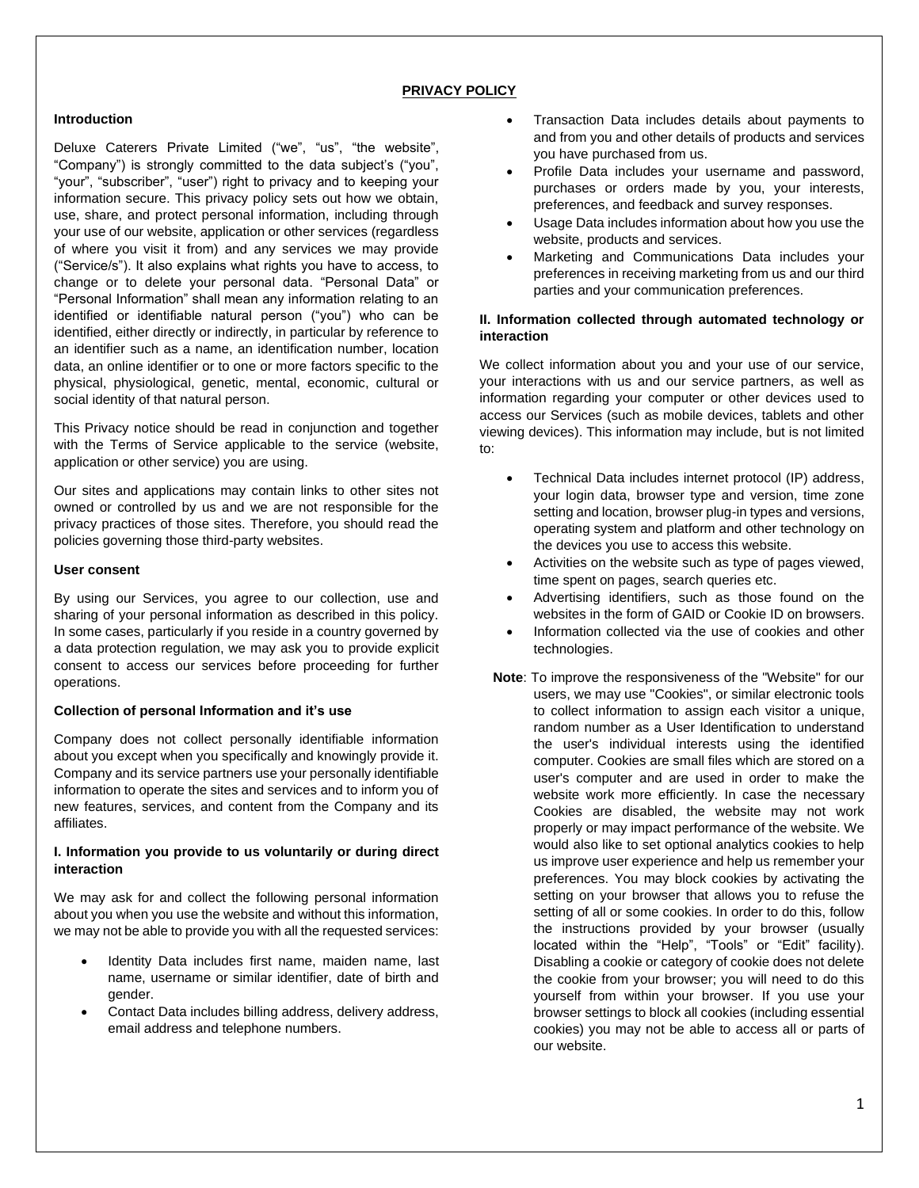### **PRIVACY POLICY**

#### **Introduction**

Deluxe Caterers Private Limited ("we", "us", "the website", "Company") is strongly committed to the data subject's ("you", "your", "subscriber", "user") right to privacy and to keeping your information secure. This privacy policy sets out how we obtain, use, share, and protect personal information, including through your use of our website, application or other services (regardless of where you visit it from) and any services we may provide ("Service/s"). It also explains what rights you have to access, to change or to delete your personal data. "Personal Data" or "Personal Information" shall mean any information relating to an identified or identifiable natural person ("you") who can be identified, either directly or indirectly, in particular by reference to an identifier such as a name, an identification number, location data, an online identifier or to one or more factors specific to the physical, physiological, genetic, mental, economic, cultural or social identity of that natural person.

This Privacy notice should be read in conjunction and together with the Terms of Service applicable to the service (website, application or other service) you are using.

Our sites and applications may contain links to other sites not owned or controlled by us and we are not responsible for the privacy practices of those sites. Therefore, you should read the policies governing those third-party websites.

#### **User consent**

By using our Services, you agree to our collection, use and sharing of your personal information as described in this policy. In some cases, particularly if you reside in a country governed by a data protection regulation, we may ask you to provide explicit consent to access our services before proceeding for further operations.

#### **Collection of personal Information and it's use**

Company does not collect personally identifiable information about you except when you specifically and knowingly provide it. Company and its service partners use your personally identifiable information to operate the sites and services and to inform you of new features, services, and content from the Company and its affiliates.

### **I. Information you provide to us voluntarily or during direct interaction**

We may ask for and collect the following personal information about you when you use the website and without this information, we may not be able to provide you with all the requested services:

- Identity Data includes first name, maiden name, last name, username or similar identifier, date of birth and gender.
- Contact Data includes billing address, delivery address, email address and telephone numbers.
- Transaction Data includes details about payments to and from you and other details of products and services you have purchased from us.
- Profile Data includes your username and password, purchases or orders made by you, your interests, preferences, and feedback and survey responses.
- Usage Data includes information about how you use the website, products and services.
- Marketing and Communications Data includes your preferences in receiving marketing from us and our third parties and your communication preferences.

### **II. Information collected through automated technology or interaction**

We collect information about you and your use of our service, your interactions with us and our service partners, as well as information regarding your computer or other devices used to access our Services (such as mobile devices, tablets and other viewing devices). This information may include, but is not limited to:

- Technical Data includes internet protocol (IP) address, your login data, browser type and version, time zone setting and location, browser plug-in types and versions, operating system and platform and other technology on the devices you use to access this website.
- Activities on the website such as type of pages viewed, time spent on pages, search queries etc.
- Advertising identifiers, such as those found on the websites in the form of GAID or Cookie ID on browsers.
- Information collected via the use of cookies and other technologies.
- **Note**: To improve the responsiveness of the "Website" for our users, we may use "Cookies", or similar electronic tools to collect information to assign each visitor a unique, random number as a User Identification to understand the user's individual interests using the identified computer. Cookies are small files which are stored on a user's computer and are used in order to make the website work more efficiently. In case the necessary Cookies are disabled, the website may not work properly or may impact performance of the website. We would also like to set optional analytics cookies to help us improve user experience and help us remember your preferences. You may block cookies by activating the setting on your browser that allows you to refuse the setting of all or some cookies. In order to do this, follow the instructions provided by your browser (usually located within the "Help", "Tools" or "Edit" facility). Disabling a cookie or category of cookie does not delete the cookie from your browser; you will need to do this yourself from within your browser. If you use your browser settings to block all cookies (including essential cookies) you may not be able to access all or parts of our website.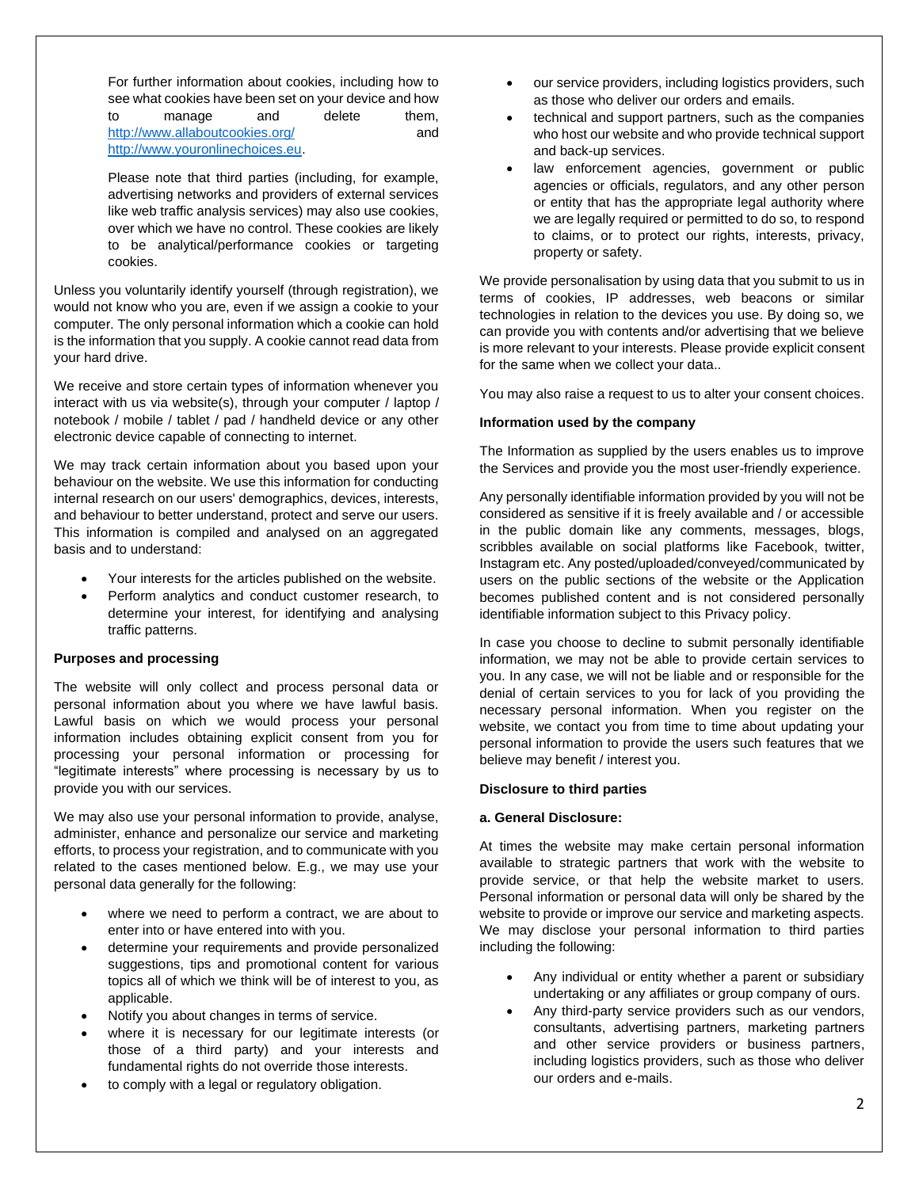For further information about cookies, including how to see what cookies have been set on your device and how to manage and delete them, <http://www.allaboutcookies.org/> and [http://www.youronlinechoices.eu.](http://www.youronlinechoices.eu/)

Please note that third parties (including, for example, advertising networks and providers of external services like web traffic analysis services) may also use cookies, over which we have no control. These cookies are likely to be analytical/performance cookies or targeting cookies.

Unless you voluntarily identify yourself (through registration), we would not know who you are, even if we assign a cookie to your computer. The only personal information which a cookie can hold is the information that you supply. A cookie cannot read data from your hard drive.

We receive and store certain types of information whenever you interact with us via website(s), through your computer / laptop / notebook / mobile / tablet / pad / handheld device or any other electronic device capable of connecting to internet.

We may track certain information about you based upon your behaviour on the website. We use this information for conducting internal research on our users' demographics, devices, interests, and behaviour to better understand, protect and serve our users. This information is compiled and analysed on an aggregated basis and to understand:

- Your interests for the articles published on the website.
- Perform analytics and conduct customer research, to determine your interest, for identifying and analysing traffic patterns.

## **Purposes and processing**

The website will only collect and process personal data or personal information about you where we have lawful basis. Lawful basis on which we would process your personal information includes obtaining explicit consent from you for processing your personal information or processing for "legitimate interests" where processing is necessary by us to provide you with our services.

We may also use your personal information to provide, analyse, administer, enhance and personalize our service and marketing efforts, to process your registration, and to communicate with you related to the cases mentioned below. E.g., we may use your personal data generally for the following:

- where we need to perform a contract, we are about to enter into or have entered into with you.
- determine your requirements and provide personalized suggestions, tips and promotional content for various topics all of which we think will be of interest to you, as applicable.
- Notify you about changes in terms of service.
- where it is necessary for our legitimate interests (or those of a third party) and your interests and fundamental rights do not override those interests.
- to comply with a legal or regulatory obligation.
- our service providers, including logistics providers, such as those who deliver our orders and emails.
- technical and support partners, such as the companies who host our website and who provide technical support and back-up services.
- law enforcement agencies, government or public agencies or officials, regulators, and any other person or entity that has the appropriate legal authority where we are legally required or permitted to do so, to respond to claims, or to protect our rights, interests, privacy, property or safety.

We provide personalisation by using data that you submit to us in terms of cookies, IP addresses, web beacons or similar technologies in relation to the devices you use. By doing so, we can provide you with contents and/or advertising that we believe is more relevant to your interests. Please provide explicit consent for the same when we collect your data..

You may also raise a request to us to alter your consent choices.

### **Information used by the company**

The Information as supplied by the users enables us to improve the Services and provide you the most user-friendly experience.

Any personally identifiable information provided by you will not be considered as sensitive if it is freely available and / or accessible in the public domain like any comments, messages, blogs, scribbles available on social platforms like Facebook, twitter, Instagram etc. Any posted/uploaded/conveyed/communicated by users on the public sections of the website or the Application becomes published content and is not considered personally identifiable information subject to this Privacy policy.

In case you choose to decline to submit personally identifiable information, we may not be able to provide certain services to you. In any case, we will not be liable and or responsible for the denial of certain services to you for lack of you providing the necessary personal information. When you register on the website, we contact you from time to time about updating your personal information to provide the users such features that we believe may benefit / interest you.

### **Disclosure to third parties**

### **a. General Disclosure:**

At times the website may make certain personal information available to strategic partners that work with the website to provide service, or that help the website market to users. Personal information or personal data will only be shared by the website to provide or improve our service and marketing aspects. We may disclose your personal information to third parties including the following:

- Any individual or entity whether a parent or subsidiary undertaking or any affiliates or group company of ours.
- Any third-party service providers such as our vendors, consultants, advertising partners, marketing partners and other service providers or business partners, including logistics providers, such as those who deliver our orders and e-mails.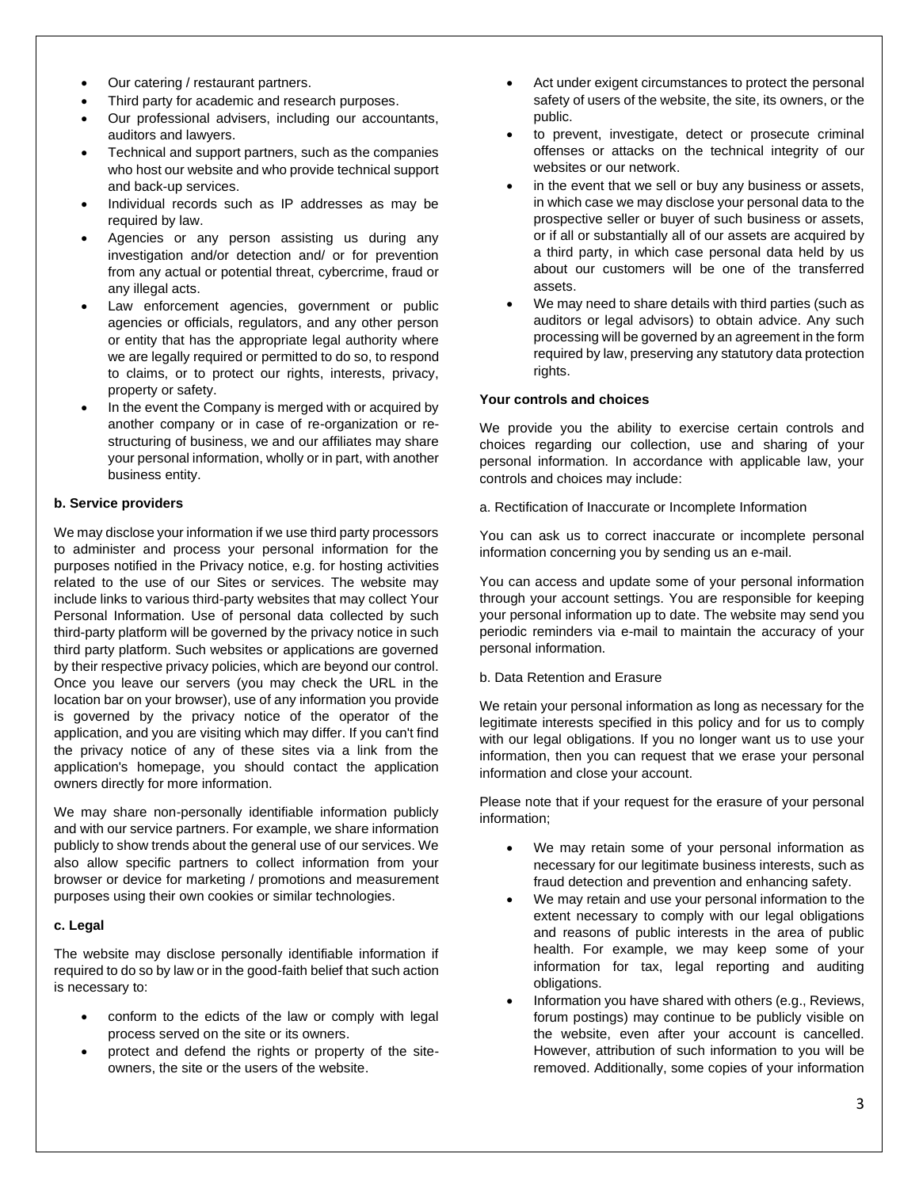- Our catering / restaurant partners.
- Third party for academic and research purposes.
- Our professional advisers, including our accountants, auditors and lawyers.
- Technical and support partners, such as the companies who host our website and who provide technical support and back-up services.
- Individual records such as IP addresses as may be required by law.
- Agencies or any person assisting us during any investigation and/or detection and/ or for prevention from any actual or potential threat, cybercrime, fraud or any illegal acts.
- Law enforcement agencies, government or public agencies or officials, regulators, and any other person or entity that has the appropriate legal authority where we are legally required or permitted to do so, to respond to claims, or to protect our rights, interests, privacy, property or safety.
- In the event the Company is merged with or acquired by another company or in case of re-organization or restructuring of business, we and our affiliates may share your personal information, wholly or in part, with another business entity.

# **b. Service providers**

We may disclose your information if we use third party processors to administer and process your personal information for the purposes notified in the Privacy notice, e.g. for hosting activities related to the use of our Sites or services. The website may include links to various third-party websites that may collect Your Personal Information. Use of personal data collected by such third-party platform will be governed by the privacy notice in such third party platform. Such websites or applications are governed by their respective privacy policies, which are beyond our control. Once you leave our servers (you may check the URL in the location bar on your browser), use of any information you provide is governed by the privacy notice of the operator of the application, and you are visiting which may differ. If you can't find the privacy notice of any of these sites via a link from the application's homepage, you should contact the application owners directly for more information.

We may share non-personally identifiable information publicly and with our service partners. For example, we share information publicly to show trends about the general use of our services. We also allow specific partners to collect information from your browser or device for marketing / promotions and measurement purposes using their own cookies or similar technologies.

# **c. Legal**

The website may disclose personally identifiable information if required to do so by law or in the good-faith belief that such action is necessary to:

- conform to the edicts of the law or comply with legal process served on the site or its owners.
- protect and defend the rights or property of the siteowners, the site or the users of the website.
- Act under exigent circumstances to protect the personal safety of users of the website, the site, its owners, or the public.
- to prevent, investigate, detect or prosecute criminal offenses or attacks on the technical integrity of our websites or our network.
- in the event that we sell or buy any business or assets, in which case we may disclose your personal data to the prospective seller or buyer of such business or assets, or if all or substantially all of our assets are acquired by a third party, in which case personal data held by us about our customers will be one of the transferred assets.
- We may need to share details with third parties (such as auditors or legal advisors) to obtain advice. Any such processing will be governed by an agreement in the form required by law, preserving any statutory data protection rights.

## **Your controls and choices**

We provide you the ability to exercise certain controls and choices regarding our collection, use and sharing of your personal information. In accordance with applicable law, your controls and choices may include:

a. Rectification of Inaccurate or Incomplete Information

You can ask us to correct inaccurate or incomplete personal information concerning you by sending us an e-mail.

You can access and update some of your personal information through your account settings. You are responsible for keeping your personal information up to date. The website may send you periodic reminders via e-mail to maintain the accuracy of your personal information.

# b. Data Retention and Erasure

We retain your personal information as long as necessary for the legitimate interests specified in this policy and for us to comply with our legal obligations. If you no longer want us to use your information, then you can request that we erase your personal information and close your account.

Please note that if your request for the erasure of your personal information;

- We may retain some of your personal information as necessary for our legitimate business interests, such as fraud detection and prevention and enhancing safety.
- We may retain and use your personal information to the extent necessary to comply with our legal obligations and reasons of public interests in the area of public health. For example, we may keep some of your information for tax, legal reporting and auditing obligations.
- Information you have shared with others (e.g., Reviews, forum postings) may continue to be publicly visible on the website, even after your account is cancelled. However, attribution of such information to you will be removed. Additionally, some copies of your information